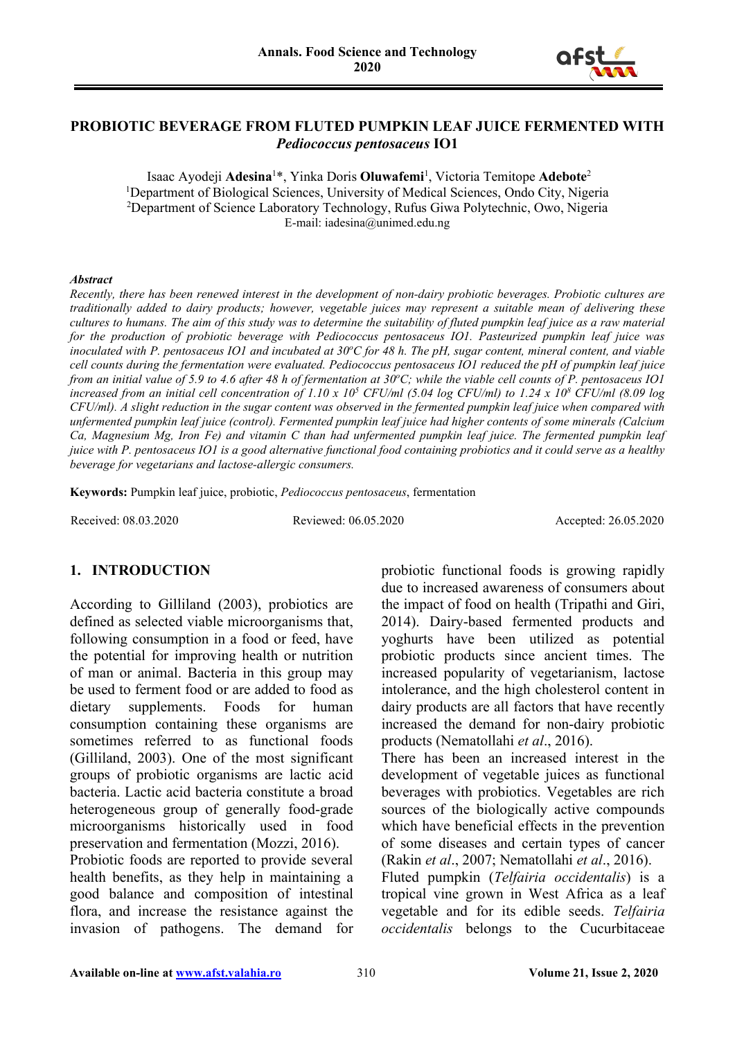

#### **PROBIOTIC BEVERAGE FROM FLUTED PUMPKIN LEAF JUICE FERMENTED WITH**  *Pediococcus pentosaceus* **IO1**

Isaac Ayodeji **Adesina**<sup>1</sup> \*, Yinka Doris **Oluwafemi**<sup>1</sup> , Victoria Temitope **Adebote**<sup>2</sup> <sup>1</sup>Department of Biological Sciences, University of Medical Sciences, Ondo City, Nigeria <sup>2</sup>Department of Science Laboratory Technology, Rufus Giwa Polytechnic, Owo, Nigeria E-mail: iadesina@unimed.edu.ng

#### *Abstract*

*Recently, there has been renewed interest in the development of non-dairy probiotic beverages. Probiotic cultures are traditionally added to dairy products; however, vegetable juices may represent a suitable mean of delivering these cultures to humans. The aim of this study was to determine the suitability of fluted pumpkin leaf juice as a raw material for the production of probiotic beverage with Pediococcus pentosaceus IO1. Pasteurized pumpkin leaf juice was*  inoculated with P. pentosaceus IO1 and incubated at 30°C for 48 h. The pH, sugar content, mineral content, and viable *cell counts during the fermentation were evaluated. Pediococcus pentosaceus IO1 reduced the pH of pumpkin leaf juice*  from an initial value of 5.9 to 4.6 after 48 h of fermentation at 30°C; while the viable cell counts of P. pentosaceus IO1 *increased from an initial cell concentration of 1.10 x 105 CFU/ml (5.04 log CFU/ml) to 1.24 x 108 CFU/ml (8.09 log CFU/ml). A slight reduction in the sugar content was observed in the fermented pumpkin leaf juice when compared with unfermented pumpkin leaf juice (control). Fermented pumpkin leaf juice had higher contents of some minerals (Calcium Ca, Magnesium Mg, Iron Fe) and vitamin C than had unfermented pumpkin leaf juice. The fermented pumpkin leaf juice with P. pentosaceus IO1 is a good alternative functional food containing probiotics and it could serve as a healthy beverage for vegetarians and lactose-allergic consumers.*

**Keywords:** Pumpkin leaf juice, probiotic, *Pediococcus pentosaceus*, fermentation

Received: 08.03.2020 Reviewed: 06.05.2020 Accepted: 26.05.2020

#### **1. INTRODUCTION**

According to Gilliland (2003), probiotics are defined as selected viable microorganisms that, following consumption in a food or feed, have the potential for improving health or nutrition of man or animal. Bacteria in this group may be used to ferment food or are added to food as dietary supplements. Foods for human consumption containing these organisms are sometimes referred to as functional foods (Gilliland, 2003). One of the most significant groups of probiotic organisms are lactic acid bacteria. Lactic acid bacteria constitute a broad heterogeneous group of generally food-grade microorganisms historically used in food preservation and fermentation (Mozzi, 2016).

Probiotic foods are reported to provide several health benefits, as they help in maintaining a good balance and composition of intestinal flora, and increase the resistance against the invasion of pathogens. The demand for probiotic functional foods is growing rapidly due to increased awareness of consumers about the impact of food on health (Tripathi and Giri, 2014). Dairy-based fermented products and yoghurts have been utilized as potential probiotic products since ancient times. The increased popularity of vegetarianism, lactose intolerance, and the high cholesterol content in dairy products are all factors that have recently increased the demand for non-dairy probiotic products (Nematollahi *et al*., 2016).

There has been an increased interest in the development of vegetable juices as functional beverages with probiotics. Vegetables are rich sources of the biologically active compounds which have beneficial effects in the prevention of some diseases and certain types of cancer (Rakin *et al*., 2007; Nematollahi *et al*., 2016).

Fluted pumpkin (*Telfairia occidentalis*) is a tropical vine grown in West Africa as a leaf vegetable and for its edible seeds. *Telfairia occidentalis* belongs to the Cucurbitaceae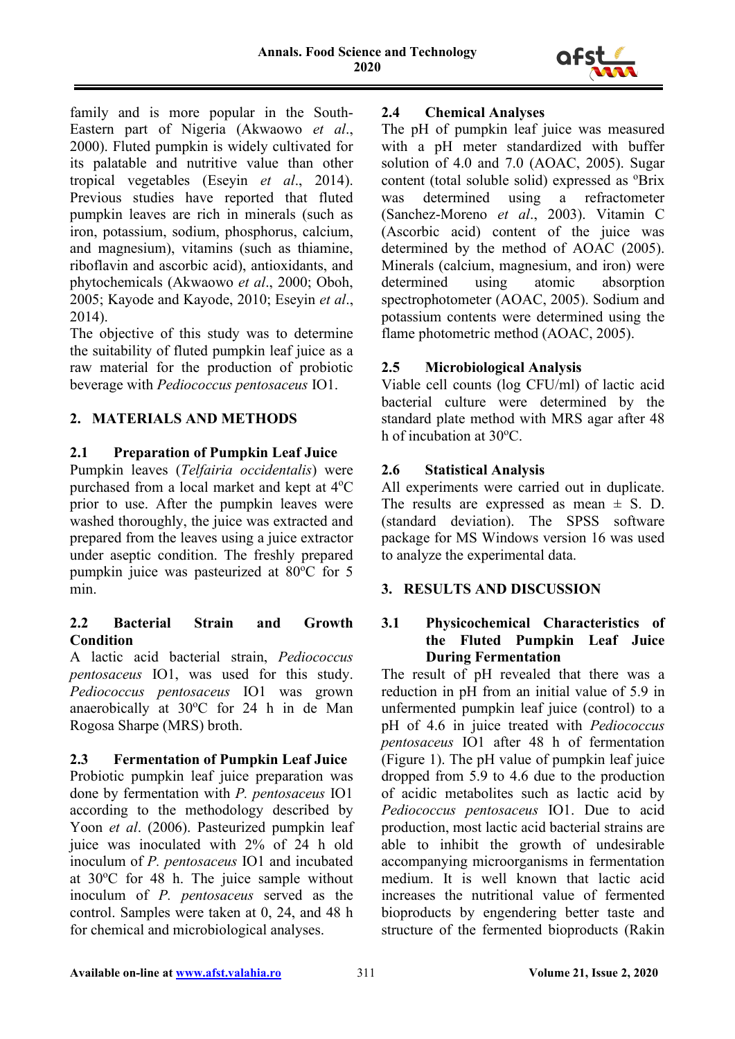

family and is more popular in the South-Eastern part of Nigeria (Akwaowo *et al*., 2000). Fluted pumpkin is widely cultivated for its palatable and nutritive value than other tropical vegetables (Eseyin *et al*., 2014). Previous studies have reported that fluted pumpkin leaves are rich in minerals (such as iron, potassium, sodium, phosphorus, calcium, and magnesium), vitamins (such as thiamine, riboflavin and ascorbic acid), antioxidants, and phytochemicals (Akwaowo *et al*., 2000; Oboh, 2005; Kayode and Kayode, 2010; Eseyin *et al*., 2014).

The objective of this study was to determine the suitability of fluted pumpkin leaf juice as a raw material for the production of probiotic beverage with *Pediococcus pentosaceus* IO1.

# **2. MATERIALS AND METHODS**

## **2.1 Preparation of Pumpkin Leaf Juice**

Pumpkin leaves (*Telfairia occidentalis*) were purchased from a local market and kept at 4°C prior to use. After the pumpkin leaves were washed thoroughly, the juice was extracted and prepared from the leaves using a juice extractor under aseptic condition. The freshly prepared pumpkin juice was pasteurized at 80°C for 5 min.

## **2.2 Bacterial Strain and Growth Condition**

A lactic acid bacterial strain, *Pediococcus pentosaceus* IO1, was used for this study. *Pediococcus pentosaceus* IO1 was grown anaerobically at 30°C for 24 h in de Man Rogosa Sharpe (MRS) broth.

# **2.3 Fermentation of Pumpkin Leaf Juice**

Probiotic pumpkin leaf juice preparation was done by fermentation with *P. pentosaceus* IO1 according to the methodology described by Yoon *et al*. (2006). Pasteurized pumpkin leaf juice was inoculated with 2% of 24 h old inoculum of *P. pentosaceus* IO1 and incubated at 30°C for 48 h. The juice sample without inoculum of *P. pentosaceus* served as the control. Samples were taken at 0, 24, and 48 h for chemical and microbiological analyses.

## **2.4 Chemical Analyses**

The pH of pumpkin leaf juice was measured with a pH meter standardized with buffer solution of 4.0 and 7.0 (AOAC, 2005). Sugar content (total soluble solid) expressed as <sup>o</sup>Brix was determined using a refractometer (Sanchez-Moreno *et al*., 2003). Vitamin C (Ascorbic acid) content of the juice was determined by the method of AOAC (2005). Minerals (calcium, magnesium, and iron) were determined using atomic absorption spectrophotometer (AOAC, 2005). Sodium and potassium contents were determined using the flame photometric method (AOAC, 2005).

## **2.5 Microbiological Analysis**

Viable cell counts (log CFU/ml) of lactic acid bacterial culture were determined by the standard plate method with MRS agar after 48 h of incubation at 30°C.

## **2.6 Statistical Analysis**

All experiments were carried out in duplicate. The results are expressed as mean  $\pm$  S. D. (standard deviation). The SPSS software package for MS Windows version 16 was used to analyze the experimental data.

#### **3. RESULTS AND DISCUSSION**

#### **3.1 Physicochemical Characteristics of the Fluted Pumpkin Leaf Juice During Fermentation**

The result of pH revealed that there was a reduction in pH from an initial value of 5.9 in unfermented pumpkin leaf juice (control) to a pH of 4.6 in juice treated with *Pediococcus pentosaceus* IO1 after 48 h of fermentation (Figure 1). The pH value of pumpkin leaf juice dropped from 5.9 to 4.6 due to the production of acidic metabolites such as lactic acid by *Pediococcus pentosaceus* IO1. Due to acid production, most lactic acid bacterial strains are able to inhibit the growth of undesirable accompanying microorganisms in fermentation medium. It is well known that lactic acid increases the nutritional value of fermented bioproducts by engendering better taste and structure of the fermented bioproducts (Rakin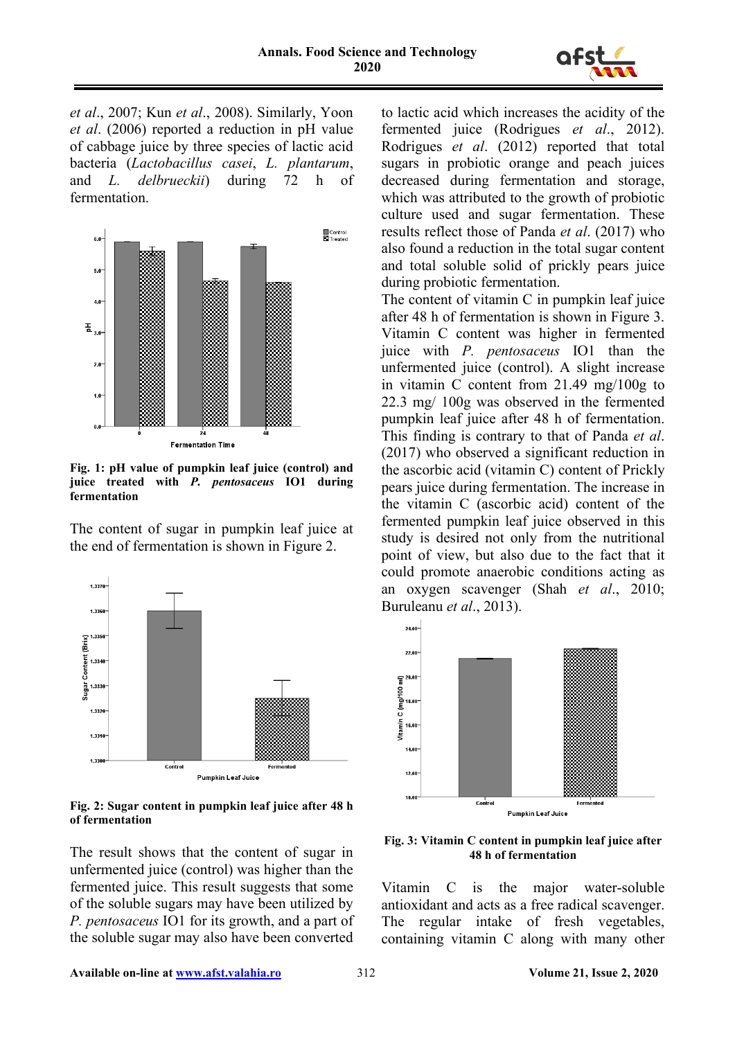

*et al*., 2007; Kun *et al*., 2008). Similarly, Yoon *et al*. (2006) reported a reduction in pH value of cabbage juice by three species of lactic acid bacteria (*Lactobacillus casei*, *L. plantarum*, and *L. delbrueckii*) during 72 h of fermentation.



**Fig. 1: pH value of pumpkin leaf juice (control) and juice treated with** *P. pentosaceus* **IO1 during fermentation**

The content of sugar in pumpkin leaf juice at the end of fermentation is shown in Figure 2.



**Fig. 2: Sugar content in pumpkin leaf juice after 48 h of fermentation**

The result shows that the content of sugar in unfermented juice (control) was higher than the fermented juice. This result suggests that some of the soluble sugars may have been utilized by *P. pentosaceus* IO1 for its growth, and a part of the soluble sugar may also have been converted

to lactic acid which increases the acidity of the fermented juice (Rodrigues *et al*., 2012). Rodrigues *et al*. (2012) reported that total sugars in probiotic orange and peach juices decreased during fermentation and storage, which was attributed to the growth of probiotic culture used and sugar fermentation. These results reflect those of Panda *et al*. (2017) who also found a reduction in the total sugar content and total soluble solid of prickly pears juice during probiotic fermentation.

The content of vitamin C in pumpkin leaf juice after 48 h of fermentation is shown in Figure 3. Vitamin C content was higher in fermented juice with *P. pentosaceus* IO1 than the unfermented juice (control). A slight increase in vitamin C content from 21.49 mg/100g to 22.3 mg/ 100g was observed in the fermented pumpkin leaf juice after 48 h of fermentation. This finding is contrary to that of Panda *et al*. (2017) who observed a significant reduction in the ascorbic acid (vitamin C) content of Prickly pears juice during fermentation. The increase in the vitamin C (ascorbic acid) content of the fermented pumpkin leaf juice observed in this study is desired not only from the nutritional point of view, but also due to the fact that it could promote anaerobic conditions acting as an oxygen scavenger (Shah *et al*., 2010; Buruleanu *et al*., 2013).



**Fig. 3: Vitamin C content in pumpkin leaf juice after 48 h of fermentation**

Vitamin C is the major water-soluble antioxidant and acts as a free radical scavenger. The regular intake of fresh vegetables, containing vitamin C along with many other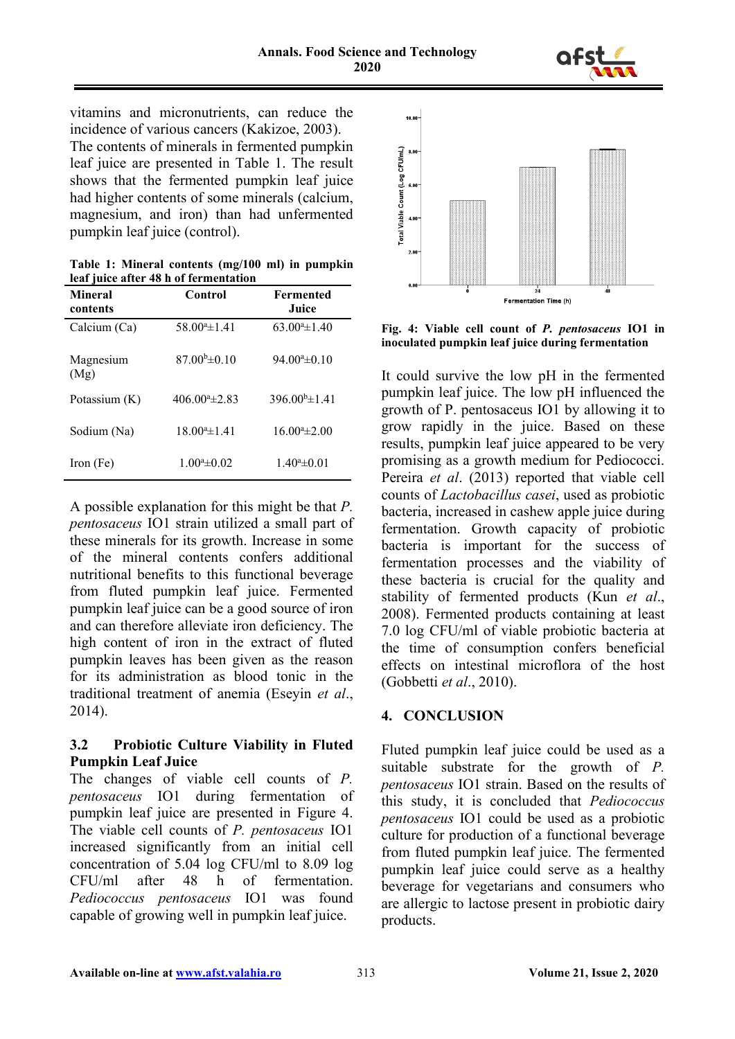

vitamins and micronutrients, can reduce the incidence of various cancers (Kakizoe, 2003).

The contents of minerals in fermented pumpkin leaf juice are presented in Table 1. The result shows that the fermented pumpkin leaf juice had higher contents of some minerals (calcium, magnesium, and iron) than had unfermented pumpkin leaf juice (control).

**Table 1: Mineral contents (mg/100 ml) in pumpkin leaf juice after 48 h of fermentation**

| <b>Mineral</b><br>contents | Control                  | <b>Fermented</b><br>Juice |
|----------------------------|--------------------------|---------------------------|
| Calcium (Ca)               | $58.004 \pm 1.41$        | $63.004 \pm 1.40$         |
| Magnesium<br>(Mg)          | $87.00\text{h} \pm 0.10$ | $94.00^{\circ}$ ±0.10     |
| Potassium $(K)$            | $406.00a_{\pm}2.83$      | $396.00^{b} \pm 1.41$     |
| Sodium (Na)                | $18.00^a \pm 1.41$       | $16.00^{\circ}$ ±2.00     |
| Iron (Fe)                  | $1.00^a \pm 0.02$        | $1.40^a \pm 0.01$         |

A possible explanation for this might be that *P. pentosaceus* IO1 strain utilized a small part of these minerals for its growth. Increase in some of the mineral contents confers additional nutritional benefits to this functional beverage from fluted pumpkin leaf juice. Fermented pumpkin leaf juice can be a good source of iron and can therefore alleviate iron deficiency. The high content of iron in the extract of fluted pumpkin leaves has been given as the reason for its administration as blood tonic in the traditional treatment of anemia (Eseyin *et al*., 2014).

# **3.2 Probiotic Culture Viability in Fluted Pumpkin Leaf Juice**

The changes of viable cell counts of *P. pentosaceus* IO1 during fermentation of pumpkin leaf juice are presented in Figure 4. The viable cell counts of *P. pentosaceus* IO1 increased significantly from an initial cell concentration of 5.04 log CFU/ml to 8.09 log CFU/ml after 48 h of fermentation. *Pediococcus pentosaceus* IO1 was found capable of growing well in pumpkin leaf juice.



**Fig. 4: Viable cell count of** *P. pentosaceus* **IO1 in inoculated pumpkin leaf juice during fermentation**

It could survive the low pH in the fermented pumpkin leaf juice. The low pH influenced the growth of P. pentosaceus IO1 by allowing it to grow rapidly in the juice. Based on these results, pumpkin leaf juice appeared to be very promising as a growth medium for Pediococci. Pereira *et al*. (2013) reported that viable cell counts of *Lactobacillus casei*, used as probiotic bacteria, increased in cashew apple juice during fermentation. Growth capacity of probiotic bacteria is important for the success of fermentation processes and the viability of these bacteria is crucial for the quality and stability of fermented products (Kun *et al*., 2008). Fermented products containing at least 7.0 log CFU/ml of viable probiotic bacteria at the time of consumption confers beneficial effects on intestinal microflora of the host (Gobbetti *et al*., 2010).

# **4. CONCLUSION**

Fluted pumpkin leaf juice could be used as a suitable substrate for the growth of *P. pentosaceus* IO1 strain. Based on the results of this study, it is concluded that *Pediococcus pentosaceus* IO1 could be used as a probiotic culture for production of a functional beverage from fluted pumpkin leaf juice. The fermented pumpkin leaf juice could serve as a healthy beverage for vegetarians and consumers who are allergic to lactose present in probiotic dairy products.